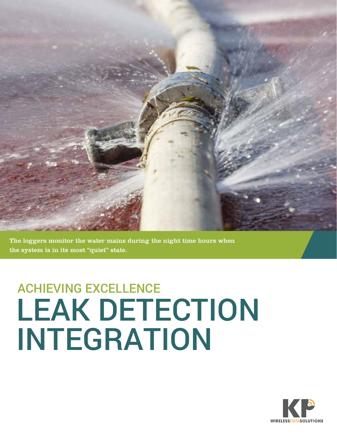

The loggers monitor the water mains during the night time hours when the system is in its most "quiet" state.

## ACHIEVING EXCELLENCE LEAK DETECTION INTEGRATION